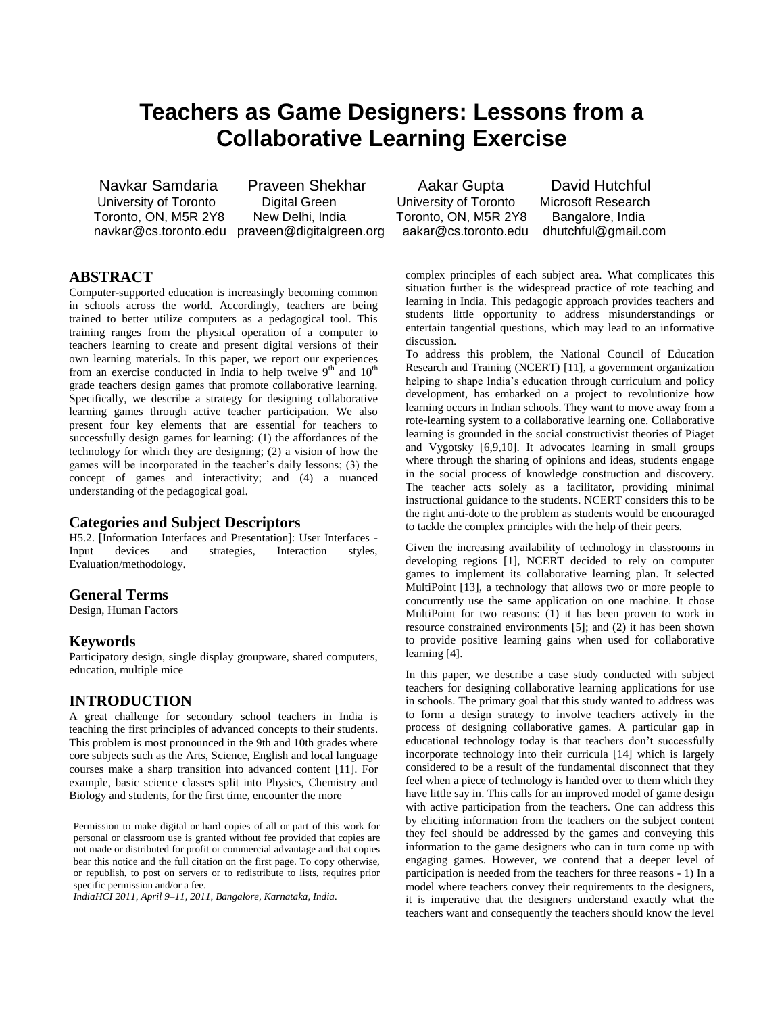# **Teachers as Game Designers: Lessons from a Collaborative Learning Exercise**

 University of Toronto Digital Green University of Toronto Microsoft Research Toronto, ON, M5R 2Y8 New Delhi, India Toronto, ON, M5R 2Y8 Bangalore, India navkar@cs.toronto.edu praveen@digitalgreen.org aakar@cs.toronto.edu dhutchful@gmail.com

Navkar Samdaria Praveen Shekhar Aakar Gupta David Hutchful

# **ABSTRACT**

Computer-supported education is increasingly becoming common in schools across the world. Accordingly, teachers are being trained to better utilize computers as a pedagogical tool. This training ranges from the physical operation of a computer to teachers learning to create and present digital versions of their own learning materials. In this paper, we report our experiences from an exercise conducted in India to help twelve  $9<sup>th</sup>$  and  $10<sup>th</sup>$ grade teachers design games that promote collaborative learning. Specifically, we describe a strategy for designing collaborative learning games through active teacher participation. We also present four key elements that are essential for teachers to successfully design games for learning: (1) the affordances of the technology for which they are designing; (2) a vision of how the games will be incorporated in the teacher's daily lessons; (3) the concept of games and interactivity; and (4) a nuanced understanding of the pedagogical goal.

## **Categories and Subject Descriptors**

H5.2. [Information Interfaces and Presentation]: User Interfaces - Input devices and strategies, Interaction styles, Evaluation/methodology.

#### **General Terms**

Design, Human Factors

#### **Keywords**

Participatory design, single display groupware, shared computers, education, multiple mice

#### **INTRODUCTION**

A great challenge for secondary school teachers in India is teaching the first principles of advanced concepts to their students. This problem is most pronounced in the 9th and 10th grades where core subjects such as the Arts, Science, English and local language courses make a sharp transition into advanced content [11]. For example, basic science classes split into Physics, Chemistry and Biology and students, for the first time, encounter the more

Permission to make digital or hard copies of all or part of this work for personal or classroom use is granted without fee provided that copies are not made or distributed for profit or commercial advantage and that copies bear this notice and the full citation on the first page. To copy otherwise, or republish, to post on servers or to redistribute to lists, requires prior specific permission and/or a fee.

*IndiaHCI 2011, April 9–11, 2011, Bangalore, Karnataka, India.*

complex principles of each subject area. What complicates this situation further is the widespread practice of rote teaching and learning in India. This pedagogic approach provides teachers and students little opportunity to address misunderstandings or entertain tangential questions, which may lead to an informative discussion.

To address this problem, the National Council of Education Research and Training (NCERT) [11], a government organization helping to shape India's education through curriculum and policy development, has embarked on a project to revolutionize how learning occurs in Indian schools. They want to move away from a rote-learning system to a collaborative learning one. Collaborative learning is grounded in the social constructivist theories of Piaget and Vygotsky [6,9,10]. It advocates learning in small groups where through the sharing of opinions and ideas, students engage in the social process of knowledge construction and discovery. The teacher acts solely as a facilitator, providing minimal instructional guidance to the students. NCERT considers this to be the right anti-dote to the problem as students would be encouraged to tackle the complex principles with the help of their peers.

Given the increasing availability of technology in classrooms in developing regions [1], NCERT decided to rely on computer games to implement its collaborative learning plan. It selected MultiPoint [13], a technology that allows two or more people to concurrently use the same application on one machine. It chose MultiPoint for two reasons: (1) it has been proven to work in resource constrained environments [5]; and (2) it has been shown to provide positive learning gains when used for collaborative learning [4].

In this paper, we describe a case study conducted with subject teachers for designing collaborative learning applications for use in schools. The primary goal that this study wanted to address was to form a design strategy to involve teachers actively in the process of designing collaborative games. A particular gap in educational technology today is that teachers don't successfully incorporate technology into their curricula [14] which is largely considered to be a result of the fundamental disconnect that they feel when a piece of technology is handed over to them which they have little say in. This calls for an improved model of game design with active participation from the teachers. One can address this by eliciting information from the teachers on the subject content they feel should be addressed by the games and conveying this information to the game designers who can in turn come up with engaging games. However, we contend that a deeper level of participation is needed from the teachers for three reasons - 1) In a model where teachers convey their requirements to the designers, it is imperative that the designers understand exactly what the teachers want and consequently the teachers should know the level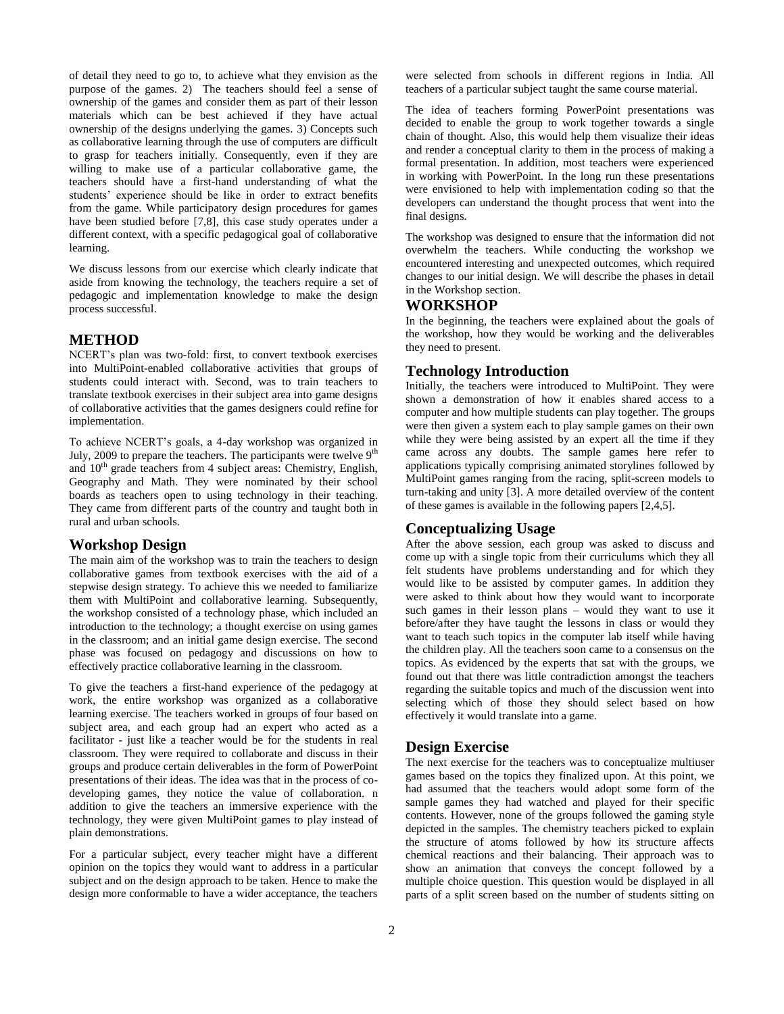of detail they need to go to, to achieve what they envision as the purpose of the games. 2) The teachers should feel a sense of ownership of the games and consider them as part of their lesson materials which can be best achieved if they have actual ownership of the designs underlying the games. 3) Concepts such as collaborative learning through the use of computers are difficult to grasp for teachers initially. Consequently, even if they are willing to make use of a particular collaborative game, the teachers should have a first-hand understanding of what the students' experience should be like in order to extract benefits from the game. While participatory design procedures for games have been studied before [7,8], this case study operates under a different context, with a specific pedagogical goal of collaborative learning.

We discuss lessons from our exercise which clearly indicate that aside from knowing the technology, the teachers require a set of pedagogic and implementation knowledge to make the design process successful.

#### **METHOD**

NCERT's plan was two-fold: first, to convert textbook exercises into MultiPoint-enabled collaborative activities that groups of students could interact with. Second, was to train teachers to translate textbook exercises in their subject area into game designs of collaborative activities that the games designers could refine for implementation.

To achieve NCERT's goals, a 4-day workshop was organized in July, 2009 to prepare the teachers. The participants were twelve  $9<sup>th</sup>$ and 10<sup>th</sup> grade teachers from 4 subject areas: Chemistry, English, Geography and Math. They were nominated by their school boards as teachers open to using technology in their teaching. They came from different parts of the country and taught both in rural and urban schools.

#### **Workshop Design**

The main aim of the workshop was to train the teachers to design collaborative games from textbook exercises with the aid of a stepwise design strategy. To achieve this we needed to familiarize them with MultiPoint and collaborative learning. Subsequently, the workshop consisted of a technology phase, which included an introduction to the technology; a thought exercise on using games in the classroom; and an initial game design exercise. The second phase was focused on pedagogy and discussions on how to effectively practice collaborative learning in the classroom.

To give the teachers a first-hand experience of the pedagogy at work, the entire workshop was organized as a collaborative learning exercise. The teachers worked in groups of four based on subject area, and each group had an expert who acted as a facilitator - just like a teacher would be for the students in real classroom. They were required to collaborate and discuss in their groups and produce certain deliverables in the form of PowerPoint presentations of their ideas. The idea was that in the process of codeveloping games, they notice the value of collaboration. n addition to give the teachers an immersive experience with the technology, they were given MultiPoint games to play instead of plain demonstrations.

For a particular subject, every teacher might have a different opinion on the topics they would want to address in a particular subject and on the design approach to be taken. Hence to make the design more conformable to have a wider acceptance, the teachers were selected from schools in different regions in India. All teachers of a particular subject taught the same course material.

The idea of teachers forming PowerPoint presentations was decided to enable the group to work together towards a single chain of thought. Also, this would help them visualize their ideas and render a conceptual clarity to them in the process of making a formal presentation. In addition, most teachers were experienced in working with PowerPoint. In the long run these presentations were envisioned to help with implementation coding so that the developers can understand the thought process that went into the final designs.

The workshop was designed to ensure that the information did not overwhelm the teachers. While conducting the workshop we encountered interesting and unexpected outcomes, which required changes to our initial design. We will describe the phases in detail in the Workshop section.

#### **WORKSHOP**

In the beginning, the teachers were explained about the goals of the workshop, how they would be working and the deliverables they need to present.

#### **Technology Introduction**

Initially, the teachers were introduced to MultiPoint. They were shown a demonstration of how it enables shared access to a computer and how multiple students can play together. The groups were then given a system each to play sample games on their own while they were being assisted by an expert all the time if they came across any doubts. The sample games here refer to applications typically comprising animated storylines followed by MultiPoint games ranging from the racing, split-screen models to turn-taking and unity [3]. A more detailed overview of the content of these games is available in the following papers [2,4,5].

#### **Conceptualizing Usage**

After the above session, each group was asked to discuss and come up with a single topic from their curriculums which they all felt students have problems understanding and for which they would like to be assisted by computer games. In addition they were asked to think about how they would want to incorporate such games in their lesson plans – would they want to use it before/after they have taught the lessons in class or would they want to teach such topics in the computer lab itself while having the children play. All the teachers soon came to a consensus on the topics. As evidenced by the experts that sat with the groups, we found out that there was little contradiction amongst the teachers regarding the suitable topics and much of the discussion went into selecting which of those they should select based on how effectively it would translate into a game.

#### **Design Exercise**

The next exercise for the teachers was to conceptualize multiuser games based on the topics they finalized upon. At this point, we had assumed that the teachers would adopt some form of the sample games they had watched and played for their specific contents. However, none of the groups followed the gaming style depicted in the samples. The chemistry teachers picked to explain the structure of atoms followed by how its structure affects chemical reactions and their balancing. Their approach was to show an animation that conveys the concept followed by a multiple choice question. This question would be displayed in all parts of a split screen based on the number of students sitting on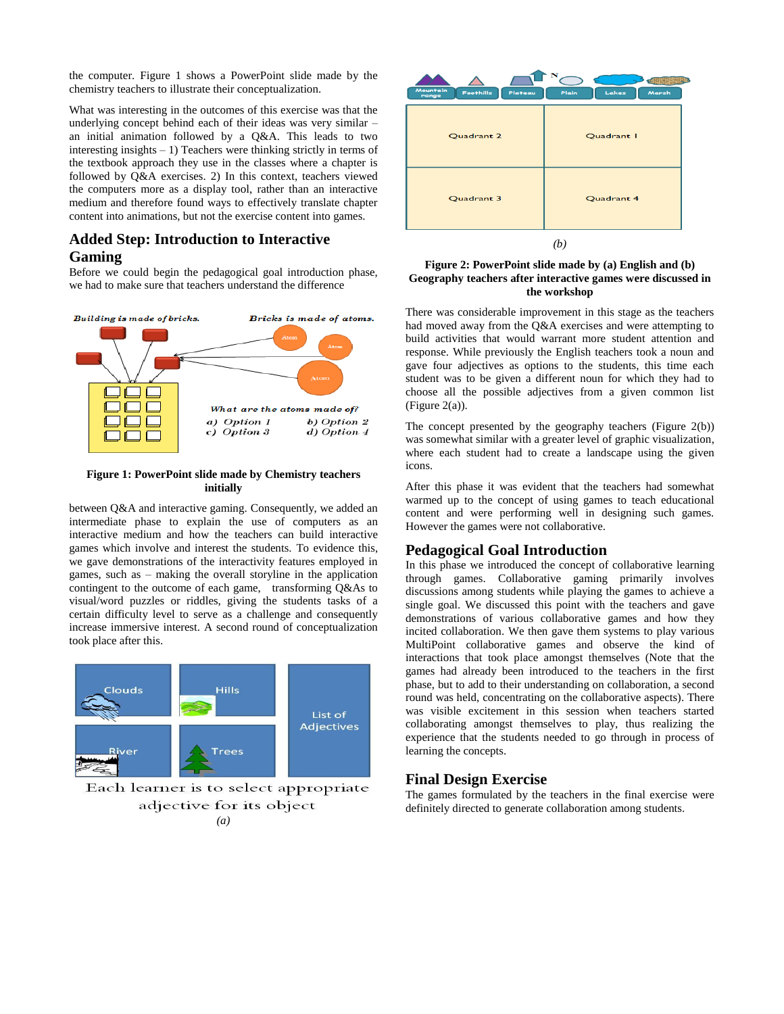the computer. Figure 1 shows a PowerPoint slide made by the chemistry teachers to illustrate their conceptualization.

What was interesting in the outcomes of this exercise was that the underlying concept behind each of their ideas was very similar – an initial animation followed by a Q&A. This leads to two interesting insights – 1) Teachers were thinking strictly in terms of the textbook approach they use in the classes where a chapter is followed by Q&A exercises. 2) In this context, teachers viewed the computers more as a display tool, rather than an interactive medium and therefore found ways to effectively translate chapter content into animations, but not the exercise content into games.

## **Added Step: Introduction to Interactive Gaming**

Before we could begin the pedagogical goal introduction phase, we had to make sure that teachers understand the difference



#### **Figure 1: PowerPoint slide made by Chemistry teachers initially**

between Q&A and interactive gaming. Consequently, we added an intermediate phase to explain the use of computers as an interactive medium and how the teachers can build interactive games which involve and interest the students. To evidence this, we gave demonstrations of the interactivity features employed in games, such as – making the overall storyline in the application contingent to the outcome of each game, transforming Q&As to visual/word puzzles or riddles, giving the students tasks of a certain difficulty level to serve as a challenge and consequently increase immersive interest. A second round of conceptualization took place after this.



Each learner is to select appropriate adjective for its object *(a)*



#### **Figure 2: PowerPoint slide made by (a) English and (b) Geography teachers after interactive games were discussed in the workshop**

There was considerable improvement in this stage as the teachers had moved away from the Q&A exercises and were attempting to build activities that would warrant more student attention and response. While previously the English teachers took a noun and gave four adjectives as options to the students, this time each student was to be given a different noun for which they had to choose all the possible adjectives from a given common list (Figure 2(a)).

The concept presented by the geography teachers (Figure 2(b)) was somewhat similar with a greater level of graphic visualization, where each student had to create a landscape using the given icons.

After this phase it was evident that the teachers had somewhat warmed up to the concept of using games to teach educational content and were performing well in designing such games. However the games were not collaborative.

## **Pedagogical Goal Introduction**

In this phase we introduced the concept of collaborative learning through games. Collaborative gaming primarily involves discussions among students while playing the games to achieve a single goal. We discussed this point with the teachers and gave demonstrations of various collaborative games and how they incited collaboration. We then gave them systems to play various MultiPoint collaborative games and observe the kind of interactions that took place amongst themselves (Note that the games had already been introduced to the teachers in the first phase, but to add to their understanding on collaboration, a second round was held, concentrating on the collaborative aspects). There was visible excitement in this session when teachers started collaborating amongst themselves to play, thus realizing the experience that the students needed to go through in process of learning the concepts.

## **Final Design Exercise**

The games formulated by the teachers in the final exercise were definitely directed to generate collaboration among students.